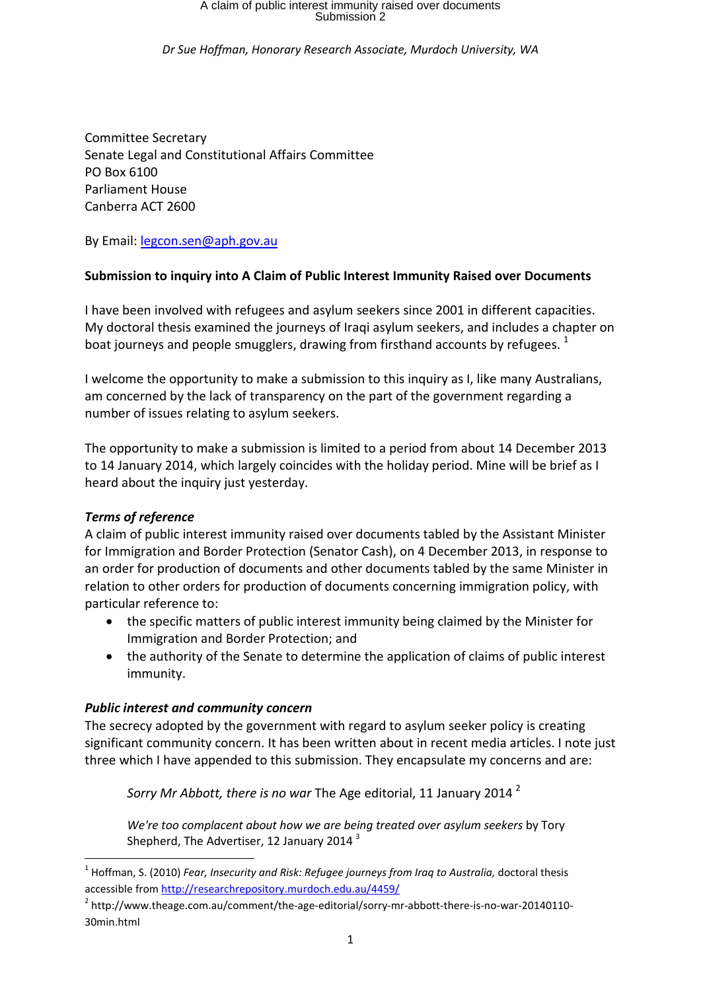# A claim of public interest immunity raised over documents Submission 2

*Dr Sue Hoffman, Honorary Research Associate, Murdoch University, WA* 

Committee Secretary Senate Legal and Constitutional Affairs Committee PO Box 6100 Parliament House Canberra ACT 2600

By Email: legcon.sen@aph.gov.au

### **Submission to inquiry into A Claim of Public Interest Immunity Raised over Documents**

I have been involved with refugees and asylum seekers since 2001 in different capacities. My doctoral thesis examined the journeys of Iraqi asylum seekers, and includes a chapter on boat journeys and people smugglers, drawing from firsthand accounts by refugees.  $1$ 

I welcome the opportunity to make a submission to this inquiry as I, like many Australians, am concerned by the lack of transparency on the part of the government regarding a number of issues relating to asylum seekers.

The opportunity to make a submission is limited to a period from about 14 December 2013 to 14 January 2014, which largely coincides with the holiday period. Mine will be brief as I heard about the inquiry just yesterday.

#### *Terms of reference*

-

A claim of public interest immunity raised over documents tabled by the Assistant Minister for Immigration and Border Protection (Senator Cash), on 4 December 2013, in response to an order for production of documents and other documents tabled by the same Minister in relation to other orders for production of documents concerning immigration policy, with particular reference to:

- the specific matters of public interest immunity being claimed by the Minister for Immigration and Border Protection; and
- the authority of the Senate to determine the application of claims of public interest immunity.

#### *Public interest and community concern*

The secrecy adopted by the government with regard to asylum seeker policy is creating significant community concern. It has been written about in recent media articles. I note just three which I have appended to this submission. They encapsulate my concerns and are:

*Sorry Mr Abbott, there is no war* The Age editorial, 11 January 2014 <sup>2</sup>

*We're too complacent about how we are being treated over asylum seekers* by Tory Shepherd, The Advertiser, 12 January 2014<sup>3</sup>

<sup>&</sup>lt;sup>1</sup> Hoffman, S. (2010) *Fear, Insecurity and Risk: Refugee journeys from Iraq to Australia, doctoral thesis* accessible from http://researchrepository.murdoch.edu.au/4459/

<sup>&</sup>lt;sup>2</sup> http://www.theage.com.au/comment/the-age-editorial/sorry-mr-abbott-there-is-no-war-20140110-30min.html